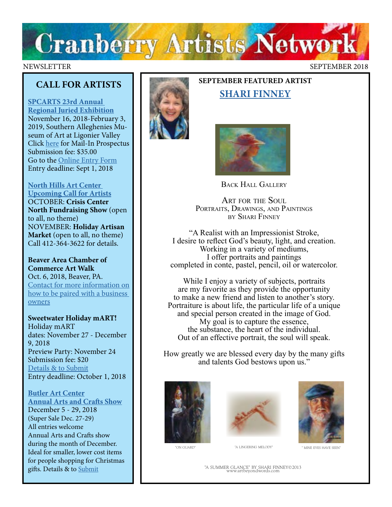

## NEWSLETTER SEPTEMBER 2018

## **CALL FOR ARTISTS**

**[SPCARTS 23rd Annual](http://www.spcarts.org/spc/wp-content/uploads/2018/06/2018-8-x11-prospectus.pdf)  [Regional Juried Exhibition](http://www.spcarts.org/spc/wp-content/uploads/2018/06/2018-8-x11-prospectus.pdf)** November 16, 2018-February 3, 2019, Southern Alleghenies Museum of Art at Ligonier Valley Click [here](https://gallery.mailchimp.com/9e2a1ff3f5bb17b5221086aef/files/da1d83d6-7b0f-4efe-aed7-af8b715676b4/2018_8_x11_prospectus.pdf) for Mail-In Prospectus Submission fee: \$35.00 Go to the [Online Entry Form](http://www.spcarts.org/spc/?page_id=1339) Entry deadline: Sept 1, 2018

## **[North Hills Art Center](http://www.northhillsartcenter.com/artists.html)  [Upcoming Call for Artists](http://www.northhillsartcenter.com/artists.html)**

OCTOBER: **Crisis Center North Fundraising Show** (open to all, no theme) NOVEMBER: **Holiday Artisan Market** (open to all, no theme) Call 412-364-3622 for details.

## **Beaver Area Chamber of Commerce Art Walk**  Oct. 6, 2018, Beaver, PA.

[Contact for more information on](http://beaverareachamber.com/) [how to be paired with a business](http://beaverareachamber.com/)  [owners](http://beaverareachamber.com/)

## **Sweetwater Holiday mART!**  Holiday mART dates: November 27 - December 9, 2018 Preview Party: November 24 Submission fee: \$20 [Details & to Submit](http://sweetwaterartcenter.org/call_for_artists/holiday-mart/) Entry deadline: October 1, 2018

**[Butler Art Center](http://butlerartcenter.org/art-shows-music-events.html) [Annual Arts and Crafts Show](http://butlerartcenter.org/art-shows-music-events.html)** December 5 - 29, 2018 (Super Sale Dec. 27-29) All entries welcome Annual Arts and Crafts show during the month of December. Ideal for smaller, lower cost items for people shopping for Christmas gifts. Details & to [Submit](<iframe style="height: 325px;width: 300px;border: medium none;" src="https://www.flipcause.com/embed/html_widget/NDAwNjI="></iframe>)



# **SEPTEMBER FEATURED ARTIST [SHARI FINNEY](http://artbeyondwords.com/)**



Back Hall Gallery

ART FOR THE SOUL PORTRAITS, DRAWINGS, AND PAINTINGS By SHari finney

"A Realist with an Impressionist Stroke, I desire to reflect God's beauty, light, and creation. Working in a variety of mediums, I offer portraits and paintings completed in conte, pastel, pencil, oil or watercolor.

While I enjoy a variety of subjects, portraits are my favorite as they provide the opportunity to make a new friend and listen to another's story. Portraiture is about life, the particular life of a unique and special person created in the image of God. My goal is to capture the essence, the substance, the heart of the individual. Out of an effective portrait, the soul will speak.

How greatly we are blessed every day by the many gifts and talents God bestows upon us."







" MINE EYES HAVE SEEN

"A Summer GlAnce" BY SHArI FInneY©2013 www.artbeyondwords.com

"A I INGERING MELODY"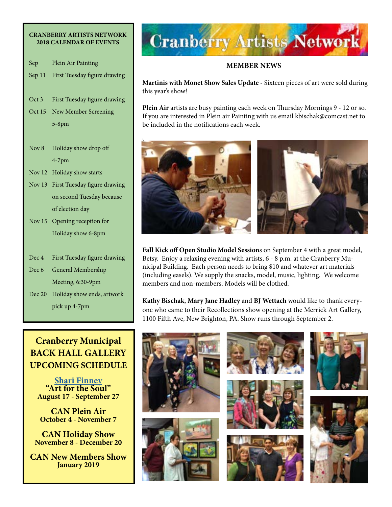### **CRANBERRY ARTISTS NETWORK 2018 CALENDAR OF EVENTS**

- Sep Plein Air Painting
- Sep 11 First Tuesday figure drawing
- Oct 3 First Tuesday figure drawing
- Oct 15 New Member Screening 5-8pm
- Nov 8 Holiday show drop off 4-7pm
- Nov 12 Holiday show starts
- Nov 13 First Tuesday figure drawing on second Tuesday because of election day
- Nov 15 Opening reception for Holiday show 6-8pm
- Dec 4 First Tuesday figure drawing
- Dec 6 General Membership Meeting, 6:30-9pm
- Dec 20 Holiday show ends, artwork pick up 4-7pm

# **Cranberry Municipal BACK HALL GALLERY UPCOMING SCHEDULE**

**[Shari Finney](http://artbeyondwords.com/) "Art for the Soul" August 17 - September 27**

**CAN Plein Air October 4 - November 7**

**CAN Holiday Show November 8 - December 20**

**CAN New Members Show January 2019**



## **MEMBER NEWS**

**Martinis with Monet Show Sales Update -** Sixteen pieces of art were sold during this year's show!

**Plein Air** artists are busy painting each week on Thursday Mornings 9 - 12 or so. If you are interested in Plein air Painting with us email kbischak@comcast.net to be included in the notifications each week.



**Fall Kick off Open Studio Model Session**s on September 4 with a great model, Betsy. Enjoy a relaxing evening with artists, 6 - 8 p.m. at the Cranberry Municipal Building. Each person needs to bring \$10 and whatever art materials (including easels). We supply the snacks, model, music, lighting. We welcome members and non-members. Models will be clothed.

**Kathy Bischak**, **Mary Jane Hadley** and **BJ Wettach** would like to thank everyone who came to their Recollections show opening at the Merrick Art Gallery, 1100 Fifth Ave, New Brighton, PA. Show runs through September 2.

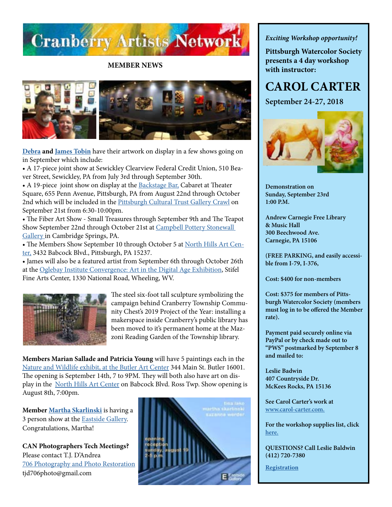

**MEMBER NEWS**



**[Debra](http://www.debratobinart.com/) and [James Tobin](https://jamestobinart.com/)** have their artwork on display in a few shows going on in September which include:

• A 17-piece joint show at Sewickley Clearview Federal Credit Union, 510 Beaver Street, Sewickley, PA from July 3rd through September 30th.

• A 19-piece joint show on display at the [Backstage Bar,](https://trustarts.org/pct_home/visit/facilities/backstage-bar) Cabaret at Theater Square, 655 Penn Avenue, Pittsburgh, PA from August 22nd through October 2nd which will be included in the [Pittsburgh Cultural Trust Gallery Crawl](https://crawl.trustarts.org/) on September 21st from 6:30-10:00pm.

• The Fiber Art Show - Small Treasures through September 9th and The Teapot Show September 22nd through October 21st at [Campbell Pottery Stonewall](http://www.campbellpotterystore.com/events)  [Gallery](http://www.campbellpotterystore.com/events) in Cambridge Springs, PA.

• The Members Show September 10 through October 5 at [North Hills Art Cen](http://northhillsartcenter.com)[ter,](http://northhillsartcenter.com) 3432 Babcock Blvd., Pittsburgh, PA 15237.

• James will also be a featured artist from September 6th through October 26th at the [Oglebay Institute Convergence: Art in the Digital Age Exhibition](https://oionline.com/events/convergence-digital-art-exhibition-stifel-wheeling/), Stifel Fine Arts Center, 1330 National Road, Wheeling, WV.



The steel six-foot tall sculpture symbolizing the campaign behind Cranberry Township Community Chest's 2019 Project of the Year: installing a makerspace inside Cranberry's public library has been moved to it's permanent home at the Mazzoni Reading Garden of the Township library.

**Members Marian Sallade and Patricia Young** will have 5 paintings each in the [Nature and Wildlife exhibit, at the Butler Art Center](http://butlerartcenter.org) 344 Main St. Butler 16001. The opening is September 14th, 7 to 9PM. They will both also have art on display in the [North Hills Art Center](http://www.northhillsartcenter.com/) on Babcock Blvd. Ross Twp. Show opening is August 8th, 7:00pm.

**Member [Martha Skarlinski](https://www.marthahopkinsskarlinski.com/)** is having a 3 person show at the [Eastside Gallery.](http://www.eastside-gallery.com/) Congratulations, Martha!

**CAN Photographers Tech Meetings?** Please contact T.J. D'Andrea [706 Photography and Photo Restoration](http://www.706photo.com/)  tjd706photo@gmail.com



*Exciting Workshop opportunity!* 

**Pittsburgh Watercolor Society presents a 4 day workshop with instructor:** 

# **CAROL CARTER**

**September 24-27, 2018**



**Demonstration on Sunday, September 23rd 1:00 P.M.**

**Andrew Carnegie Free Library & Music Hall 300 Beechwood Ave. Carnegie, PA 15106**

**(FREE PARKING, and easily accessible from I-79, I-376,**

**Cost: \$400 for non-members** 

**Cost: \$375 for members of Pittsburgh Watercolor Society (members must log in to be offered the Member rate).**

**Payment paid securely online via PayPal or by check made out to "PWS" postmarked by September 8 and mailed to:**

**Leslie Badwin 407 Countryside Dr. McKees Rocks, PA 15136**

**See Carol Carter's work at [www.carol-carter.com.](http://www.carol-carter.com)**

**For the workshop supplies list, click [here.](https://www.pittsburghwatercolorsociety.com/resources/Documents/Workshops/PWS_2018_Carter%20Watercolor%20Materials%20List.pdf)** 

**QUESTIONS? Call Leslie Baldwin (412) 720-7380**

**[Registration](https://www.pittsburghwatercolorsociety.com/event-2883908/Registration)**